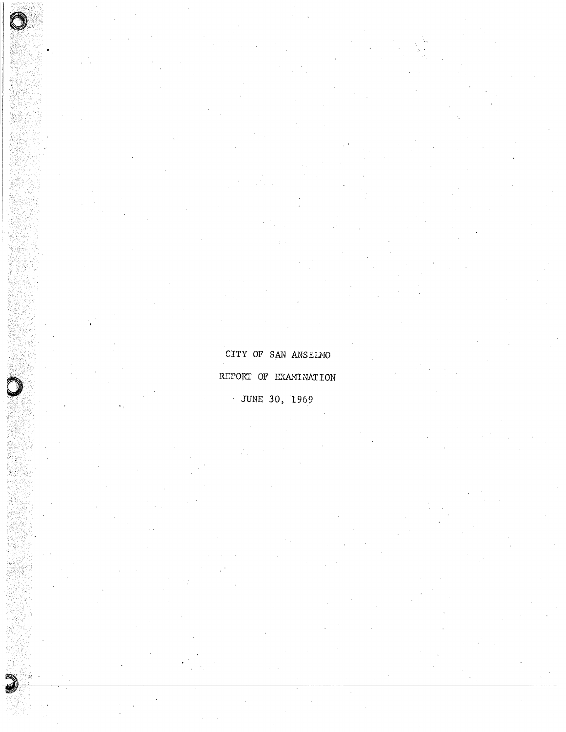CITY OF SAN ANSELMO REPORT OF EXAMINATION JUNE 30, 1969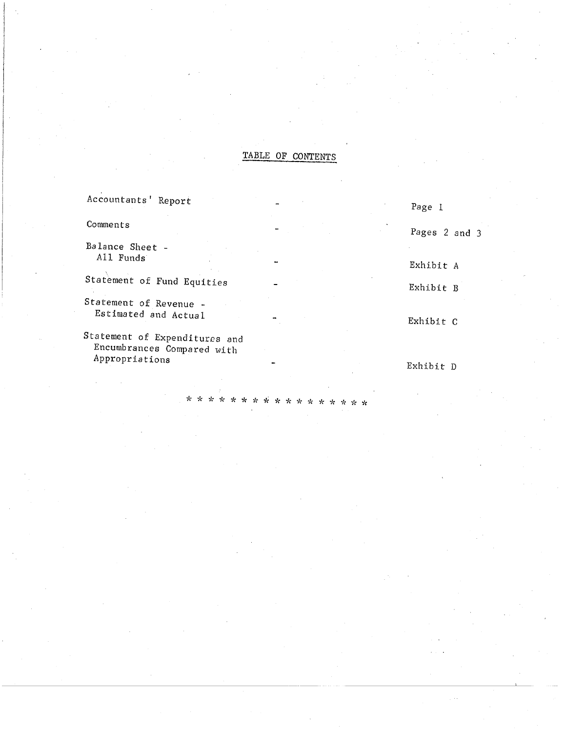### TABLE OF CONTENTS

| Accountants' Report                                         | Page 1        |
|-------------------------------------------------------------|---------------|
| Comments                                                    | Pages 2 and 3 |
| Balance Sheet -<br>All Funds                                |               |
|                                                             | Exhibit A     |
| Statement of Fund Equities                                  | Exhibit B     |
| Statement of Revenue -<br>Estimated and Actual              | Exhibit C     |
| Statement of Expenditures and<br>Encumbrances Compared with |               |
| Appropriations                                              | Exhibit D     |

y. ÷.  $\star$ A.

÷

 $\star$   $\,\star$   $\,\star$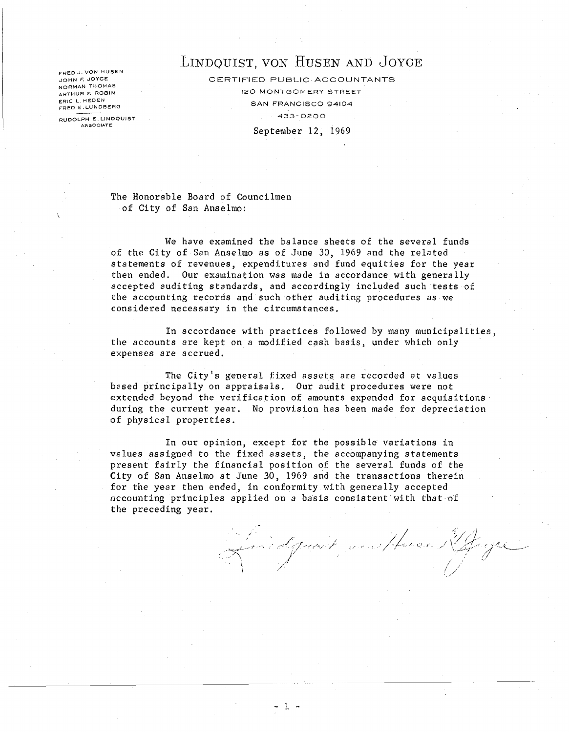FRED J. VON HUSEN JOHN F. JOYCE NORMAN THOMAS ARTHUR F. ROBIN ERIC L.HEDEN<br>FRED E.LUNDBERG

RUDOLPH E. LINDQUIST **AgSOCIATE:** 

## LINDQUIST, VON HUSEN AND JOYCE

CERTIFIED PUBLIC ACCOUNTANTS 120 MONTGOMERY STREET SAN FRANCISCO 94104 433- 0200 September 12, 1969

The Honorable Board of Councilmen of City of San Anselmo:

We have examined the balance sheets of the several funds of the City of San Anselmo as of June 30, 1969 and the related statements of revenues, expenditures and fund equities for the year then ended. Our examination was made in accordance with generally accepted auditing standards, and accordingly included such tests of the accounting records and such other auditing procedures as we considered necessary in the circumstances.

In accordance with practices followed by many municipalities, the accounts are kept on a modified cash basis, under which only expenses are accrued.

The City's general fixed assets are recorded at values based principally on appraisals. Our audit procedures were not extended beyond the verification of amounts expended for acquisitions' during the current year. No provision has been made for depreciation of physical properties.

In our opinion, except for the possible variations in values assigned to the fixed assets, the accompanying statements present fairly the financial position of the several funds of the City of San Anselmo at June 30, 1969 and the transactions therein for the year then ended, in conformity with generally accepted accounting principles applied on a basis consistent· with that of the preceding year.

f/april 1916 and 1916 and 1946 and 1946 and 1946. /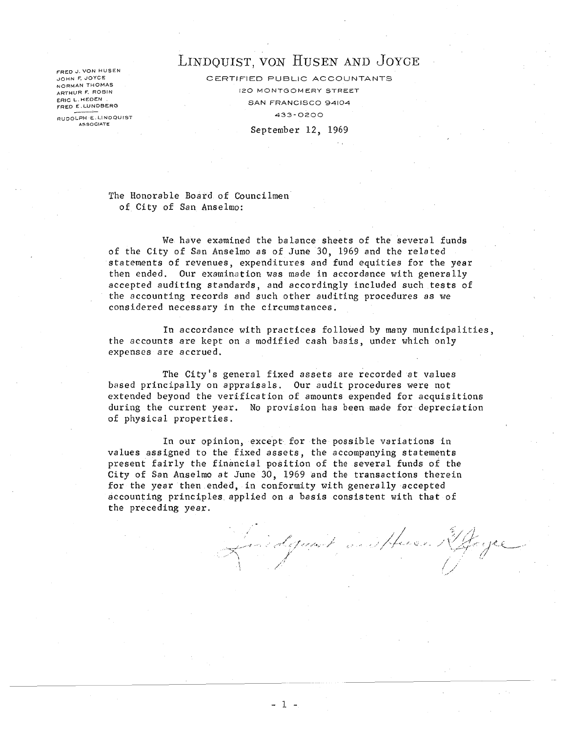JOHN F. JOYCE NORMAN THOMAS ARTHUR F. ROBIN ERIC L.HEDEN.<br>FRED E.LUNDBERG

**A5S0CIATE** 

# ERED J. VON HUSEN AND JOYCE

CERTIFIED PUBLIC ACCOUNTANTS 120 MONTGOM ERY STREET SAN FRANCISCO 94104 RUDOLPH E.LINDQUIST<br>
RUDOLPH E.LINDQUIST

September 12, 1969

The Honorable Board of Councilmen of City of San Anselmo:

We have examined the balance sheets of the several funds of the City of San Anselmo as of June 30, 1969 and the related statements of revenues, expenditures and fund equities for the year then ended. Our examination was made in accordance with generally accepted auditing standards, and accordingly included such tests of the accounting records and such other auditing procedures as we considered necessary in the circumstances.

In accordance with practices followed by many municipalities, the accounts are kept on a modified cash basis, under which only expenses are accrued.

The City's general fixed assets are recorded at values based principally on appraisals. Our audit procedures were not extended beyond the verification of amounts expended for acquisitions during the current year. No provision has been made for depreciation of physical properties.

In our opinion, except for the possible variations in values assigned to the fixed assets, the accompanying statements present fairly the financial position of the several funds of the City of San Anselmo at June 30, 1969 and the transactions therein for the year then ended, in conformity with generally accepted accounting principles applied on a basis consistent with that of the preceding year.

Squart weight .... /' /

- 1 -

---------------------\_. \_\_ .. -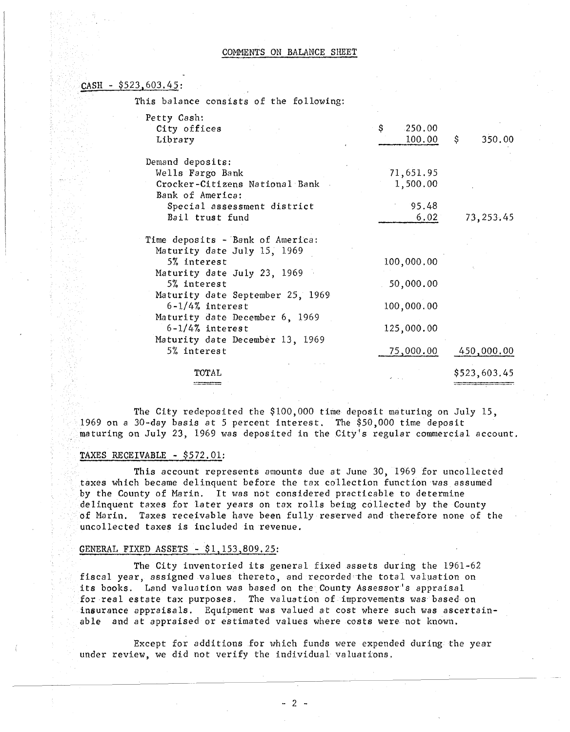#### COMMENTS ON BALANCE SHEET

#### $CASH - $523,603.45:$

This balance consists of the following:

| Petty Cash:<br>City offices<br>Library                                                                                                       | \$<br>250.00<br>100.00                 | \$.<br>350.00 |
|----------------------------------------------------------------------------------------------------------------------------------------------|----------------------------------------|---------------|
| Demand deposits:<br>Wells Fargo Bank<br>Crocker-Citizens National Bank<br>Bank of America:<br>Special assessment district<br>Bail trust fund | 71,651.95<br>1,500.00<br>95.48<br>6.02 | 73,253.45     |
| Time deposits - Bank of America:<br>Maturity date July 15, 1969<br>5% interest                                                               | 100,000.00                             |               |
| Maturity date July 23, 1969<br>5% interest<br>Maturity date September 25, 1969                                                               | 50,000.00                              |               |
| $6 - 1/4$ % interest<br>Maturity date December 6, 1969<br>$6 - 1/4$ % interest                                                               | 100,000.00<br>125,000.00               |               |
| Maturity date December 13, 1969<br>5% interest                                                                                               | 75,000.00                              | 450,000.00    |
| TOTAL                                                                                                                                        |                                        | \$523,603.45  |

The City redeposited the \$100,000 time deposit maturing on July 15, 1969 on a 30-day basis at 5 percent interest. The \$50,000 time deposit maturing on July 23, 1969 was deposited in the City's regular commercial account.

#### TAXES RECEIVABLE - \$572.01:

This account represents amounts due at June 30, 1969 for uncollected taxes which became delinquent before the tax collection function was assumed by the County of Marin. It waS not considered practicable to determine delinquent taxes for later years on tax rolls being collected by the County of Marin. Taxes receivable have been fully reserved and therefore none of the uncollected taxes is included in revenue.

#### GENERAL FIXED ASSETS - \$1,153,809.25:

The City inventoried its general fixed assets during the 1961-62 fiscal year, assigned values thereto, and recorded the total valuation on its books. Land valuation was based on the County Assessor's appraisal for real estate tax purposes. The valuation of improvements was based on insurance appraisals. Equipment was valued at cost where such was ascertainable and at appraised or estimated values where costs were not known.

Except for additions for which funds were expended during the year under review, we did not verify the individual valuations.

- 2 -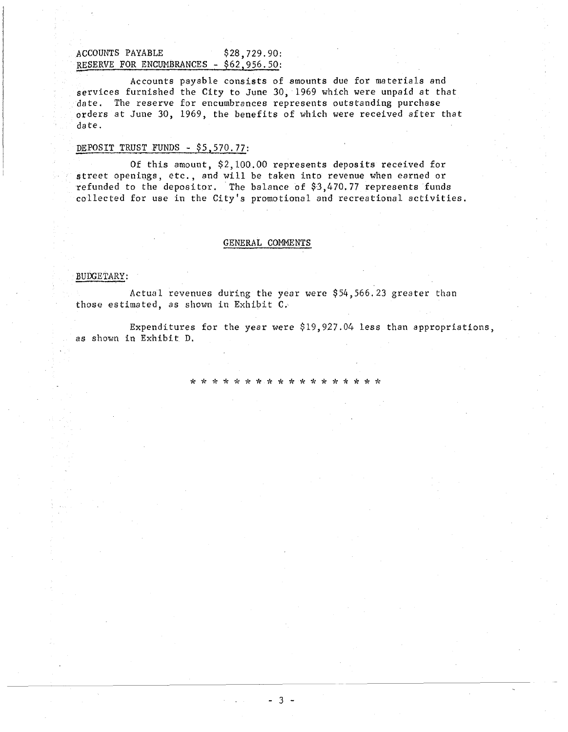#### ACCOUNTS PAYABLE \$28,729.90: RESERVE FOR ENCUMBRANCES - \$62,956.50:

Accounts payable consists of amounts due for materials and services furnished the City to June 30,1969 which were unpaid at that date. The reserve for encumbrances represents outstanding purchase orders at June 30, 1969, the benefits of which were received after that date.

#### DEPOSIT TRUST FUNDS - \$5,570.77:

Of this amount, \$2,100.00 represents deposits received for street openings, etc., and will be taken into revenue when earned or refunded to the depositor. The balance of \$3,470.77 represents funds collected for use in the City's promotional and recreational activities.

#### GENERAL COMMENTS

#### BUDGETARY:

Actual revenues duting the year were \$54,566.23 greater than those estimated, as shown in Exhibit C.'

Expenditures for the year were \$19,927.04 less than appropriations, as shown in Exhibit D.

\* \* \* \* \* \* \* \* \* \* \* \* \* \* \* \* \* \*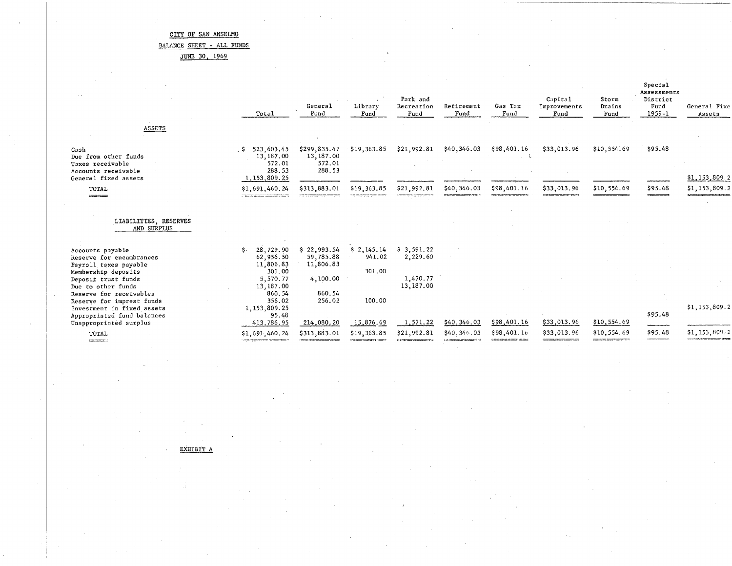BALANCE SHEET - ALL FUNDS

JUNE 30, 1969

|                                                                                                                 | Total                                                               | General<br>Fund                               | Library<br>Fund      | Park and<br>Recreation<br>Fund | Retirement<br>Fund | Gas Tax<br>Fund                                    | Capital<br>Improvements<br>Fund                                      | Storm<br>Drains<br>Fund | Special<br>Assessments<br>District<br>Fund<br>$1959 - 1$ | General Fixe<br>Assets              |
|-----------------------------------------------------------------------------------------------------------------|---------------------------------------------------------------------|-----------------------------------------------|----------------------|--------------------------------|--------------------|----------------------------------------------------|----------------------------------------------------------------------|-------------------------|----------------------------------------------------------|-------------------------------------|
| ASSETS                                                                                                          |                                                                     |                                               |                      |                                |                    |                                                    |                                                                      |                         |                                                          |                                     |
| Cash<br>Due from other funds<br>Taxes receivable<br>Accounts receivable<br>General fixed assets                 | 523,603.45<br>. \$<br>13,187.00<br>572.01<br>288.53<br>1,153,809.25 | \$299,835.47<br>13,187.00<br>572.01<br>288.53 | \$19,363.85          | \$21,992.81                    | \$40,346.03        | \$98,401.16                                        | \$33,013.96                                                          | \$10,554.69             | \$95.48                                                  | \$1,153,809.2                       |
| TOTAL<br>$-$                                                                                                    | \$1,691,460.24<br><b>CONTRACTOR COMMUNICATIONS INTO A REPORT</b>    | \$313,883.01<br><u>ng terminong ng mga ma</u> | \$19,363.85          | \$21,992.81                    | \$40,346.03        | \$98,401.16<br><b>Contractor of the Contractor</b> | \$33,013.96<br><b><i><u>A de Marques de Marque</u>s de Santa</i></b> | \$10,554.69             | \$95.48<br>---- <del>---</del> --                        | \$1,153,809.2                       |
| LIABILITIES, RESERVES<br>AND SURPLUS                                                                            |                                                                     |                                               |                      |                                |                    |                                                    |                                                                      |                         |                                                          |                                     |
| Accounts payable<br>Reserve for encumbrances<br>Payroll taxes payable                                           | 28,729.90<br>\$ -<br>62,956.50<br>11,806.83                         | \$22,993.54<br>59.785.88<br>11,806.83         | \$2,145,14<br>941.02 | \$3,591.22<br>2,229.60         |                    |                                                    |                                                                      |                         |                                                          |                                     |
| Membership deposits<br>Deposit trust funds<br>Due to other funds<br>Reserve for receivables                     | 301.00<br>5,570.77<br>13,187.00<br>860.54                           | 4,100.00<br>860.54                            | 301.00               | 1,470.77<br>13,187.00          |                    |                                                    |                                                                      |                         |                                                          |                                     |
| Reserve for imprest funds<br>Investment in fixed assets<br>Appropriated fund balances<br>Unappropriated surplus | 356.02<br>1,153,809.25<br>95.48<br>413,786.95                       | 256.02<br>214,080.20                          | 100.00<br>15,876.69  | 1,571.22                       | \$40,346.03        | \$98,401.16                                        | \$33,013.96                                                          | \$10,554.69             | \$95.48                                                  | \$1,153,809.2                       |
| TOTAL<br>100000000000000                                                                                        | \$1,691,460.24<br><b>CONTRACTORS INTERNATIONAL</b>                  | \$313,883.01                                  | \$19,363.85          | \$21,992.81                    | \$40,346.03        | \$98,401.16<br>amanye, mana unun                   | \$33,013.96                                                          | \$10,554.69             | \$95.48<br>120600-000000                                 | \$1,153,809.2<br>------------------ |

EXHIBIT A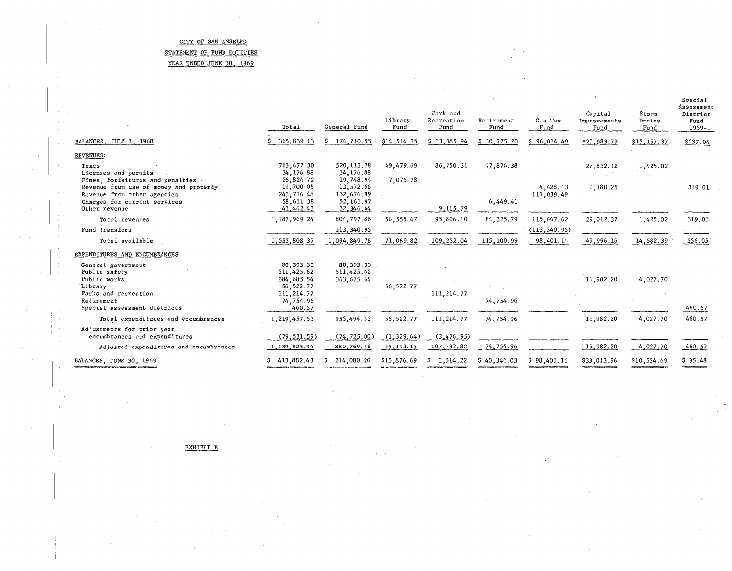#### CITY OF SAN ANSELMO STATEMENT OF FUND EQUITIES YEAR ENDED JUNE 30, 1969

 $\bar{z}$ 

Ŕ

 $\frac{1}{2}$ 

 $\frac{p}{\epsilon}$ 

 $\bar{\tau}$ 

-31

ŶΩ,

|                                                                                                                                                            | Total                                                           | General Fund                                                     | Library<br>Fund | Park and<br>Recreation<br>Fund | Retirement<br>Fund | Gus Tax<br>Fund        | Capital<br>Improvements<br>Fund                                       | Storm<br>Drains<br>Fund | Special<br>Assessment<br>District<br>Fund<br>1959-1 |
|------------------------------------------------------------------------------------------------------------------------------------------------------------|-----------------------------------------------------------------|------------------------------------------------------------------|-----------------|--------------------------------|--------------------|------------------------|-----------------------------------------------------------------------|-------------------------|-----------------------------------------------------|
| BALANCES, JULY 1, 1968                                                                                                                                     | 365,839.13                                                      | 176,710.95<br>s                                                  | \$14,514.35     | \$13,385.94                    | \$30,775.20        | \$96,074.49            | \$20,983.79                                                           | \$13,157.37             | \$237.04                                            |
| REVENUES:                                                                                                                                                  |                                                                 |                                                                  |                 |                                |                    |                        |                                                                       |                         |                                                     |
| Taxes<br>Licenses and permits                                                                                                                              | 763,477.30<br>34,176.88                                         | 520, 113.78<br>34,176.88                                         | 49,479.69       | 86,750.31                      | 77,876.38          |                        | 27,832.12                                                             | 1,425.02                |                                                     |
| Fines, forfeitures and penalties<br>Revenue from use of money and property<br>Revenue from other agencies<br>Charges for current services<br>Other revenue | 26,824.72<br>19,700.05<br>243, 716.48<br>58,611.38<br>41,462.43 | 19,748.94<br>13,572.66<br>132,676.99<br>52, 161.97<br>32, 346.64 | 7,075.78        | 9,115.79                       | 6,449.41           | 4.628.13<br>111,039.49 | 1,180.25                                                              |                         | 319.01                                              |
| Total revenues                                                                                                                                             | 1,187,969.24                                                    | 804,797.86                                                       | 56, 555.47      | 95,866.10                      | 84, 325.79         | 115,667.62             | 29,012.37                                                             | 1,425.02                | 319.01                                              |
| Fund transfers                                                                                                                                             |                                                                 | 113,340.95                                                       |                 |                                |                    | (113, 340.95)          |                                                                       |                         |                                                     |
| Total available                                                                                                                                            | 1,553,808.37                                                    | 1,094,849.76                                                     | 71,069.82       | 109, 252.04                    | 115,100.99         | 98,401.16              | 49,996.16                                                             | 14,582.39               | 556.05                                              |
| EXPENDITURES AND ENCUMBRANCES:                                                                                                                             |                                                                 |                                                                  |                 |                                |                    |                        |                                                                       |                         |                                                     |
| General government<br>Public safety<br>Public works<br>Library                                                                                             | 80, 393, 30<br>511,425.62<br>384, 685.54<br>56, 522. 77         | 80, 393, 30<br>511,425.62<br>363,675.64                          | 56, 522. 77     |                                |                    |                        | 16,982.20                                                             | 4,027.70                |                                                     |
| Parks and recreation<br>Retirement<br>Special assessment districts                                                                                         | 111, 214.77<br>74,754.96<br>460.57                              |                                                                  |                 | 111, 214.77                    | 74,754.96          |                        |                                                                       |                         | 460.57                                              |
| Total expenditures and encumbrances                                                                                                                        | 1, 219, 457.53                                                  | 955,494.56                                                       | 56, 522. 77     | 111, 214.77                    | 74,754.96          |                        | 16,982.20                                                             | 4,027.70                | 460.57                                              |
| Adjustments for prior year<br>encumbrances and expenditures                                                                                                | (79, 531, 59)                                                   | (74, 725.00)                                                     | (1, 329.64)     | (3, 476.95)                    |                    |                        |                                                                       |                         |                                                     |
| Adjusted expenditures and encumbrances                                                                                                                     | 1, 139, 925.94                                                  | 880,769.56                                                       | 55,193.13       | 107,737.82                     | 74,754.96          |                        | 16,982.20                                                             | 4,027.70                | 460.57                                              |
| BALANCES, JUNE 30, 1969<br>www.communication.com/www.com                                                                                                   | \$413,882.43                                                    | 214,080.20<br>s                                                  | \$15,876.69     | \$1,514.22                     | \$40,346.03        | \$98,401.16            | \$33,013.96<br><b>The Second Contract of Second Contract Contract</b> | \$10,554.69             | \$95.48<br>======                                   |

tij i

EXHIBIT B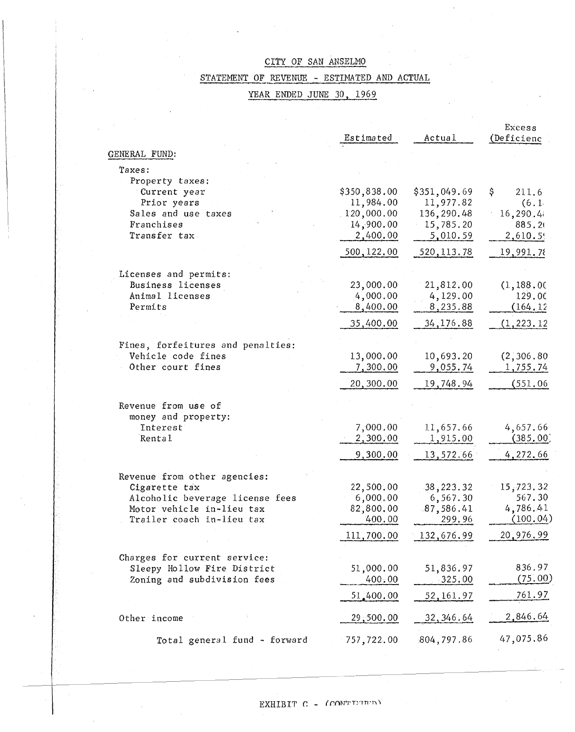### STATEMENT OF REVENUE - ESTIMATED AND ACTUAL

### YEAR ENDED JUNE 30, 1969

|                                                                                                                                                                                      | Estimated                                                        | Actual                                                           | Excess<br>(Deficienc                                     |
|--------------------------------------------------------------------------------------------------------------------------------------------------------------------------------------|------------------------------------------------------------------|------------------------------------------------------------------|----------------------------------------------------------|
| GENERAL FUND:                                                                                                                                                                        |                                                                  |                                                                  |                                                          |
| Taxes:                                                                                                                                                                               |                                                                  |                                                                  |                                                          |
| Property taxes:<br>Current year<br>Prior years<br>Sales and use taxes<br>Franchises<br>Transfer tax                                                                                  | \$350,838.00<br>11,984.00<br>120,000.00<br>14,900.00<br>2,400.00 | \$351,049.69<br>11,977.82<br>136,290.48<br>15,785.20<br>5,010.59 | Ş<br>211.6<br>(6.1<br>16,290.4<br>885.2<br>2,610.5!      |
|                                                                                                                                                                                      | 500, 122.00                                                      | 520, 113.78                                                      | 19,991.78                                                |
| Licenses and permits:<br>Business licenses<br>Animal licenses<br>Permits                                                                                                             | 23,000.00<br>4,000.00<br>8,400.00                                | 21,812.00<br>4,129.00<br>8,235.88                                | (1, 188.00)<br>129.00<br>(164.12)                        |
|                                                                                                                                                                                      | 35,400.00                                                        | 34,176.88                                                        | (1, 223, 12)                                             |
| Fines, forfeitures and penalties:<br>Vehicle code fines<br>Other court fines                                                                                                         | 13,000.00<br>7,300.00<br>20,300.00                               | 10,693.20<br>9,055.74<br>19,748.94                               | (2, 306.80)<br>1,755.74<br>(551.06)                      |
| Revenue from use of<br>money and property:<br>Interest<br>Rental                                                                                                                     | 7,000.00<br>2,300.00<br>9,300.00                                 | 11,657.66<br>1,915.00<br>13,572.66                               | 4,657.66<br>(385, 00)<br>4,272.66                        |
| Revenue from other agencies:<br>Cigarette tax<br>Alcoholic beverage license fees<br>Motor vehicle in-lieu tax<br>Trailer coach in-lieu tax<br>state of the control of the control of | 22,500.00<br>6,000.00<br>82,800.00<br>400.00<br>111,700.00       | 38,223.32<br>6,567.30<br>87,586.41<br>299.96<br>132,676.99       | 15,723.32<br>567.30<br>4,786.41<br>(100.04)<br>20,976.99 |
| Charges for current service:<br>Sleepy Hollow Fire District<br>Zoning and subdivision fees                                                                                           | 51,000.00<br>400.00<br>51,400.00                                 | 51,836.97<br>$-325.00$<br>52, 161.97                             | 836.97<br>(75.00)<br>761.97                              |
| Other income                                                                                                                                                                         | 29,500.00                                                        | 32, 346.64                                                       | 2,846.64                                                 |
| Total general fund - forward                                                                                                                                                         | 757,722.00                                                       | .804, 797.86                                                     | 47,075.86                                                |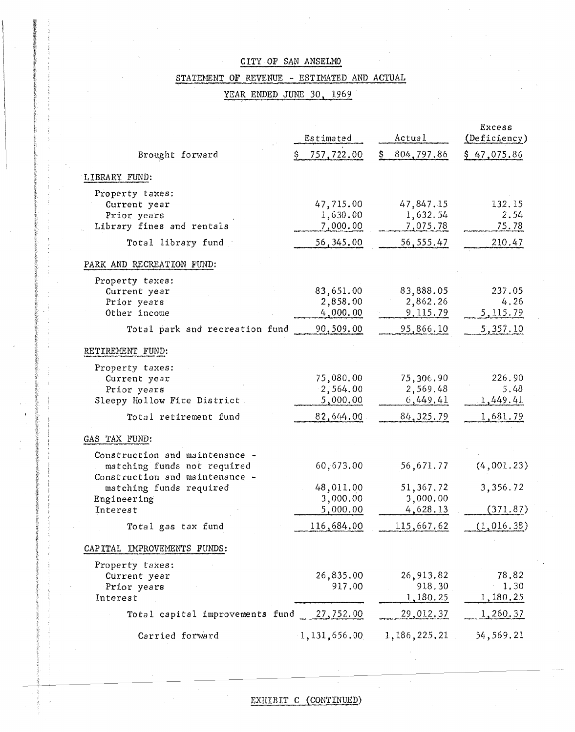### STATEMENT OF REVENUE - ESTIMATED AND ACTUAL

### YEAR ENDED JUNE 30, 1969

|                                                                                                                                                       | Estimated                                      | Actual                                           | Excess<br>(Deficiency)                  |
|-------------------------------------------------------------------------------------------------------------------------------------------------------|------------------------------------------------|--------------------------------------------------|-----------------------------------------|
| Brought forward                                                                                                                                       | 757,722.00                                     | 804,797.86                                       | \$47,075.86                             |
| LIBRARY FUND:                                                                                                                                         |                                                |                                                  |                                         |
| Property taxes:<br>Current year<br>Prior years<br>Library fines and rentals                                                                           | 47,715.00<br>1,630.00<br>7,000.00              | 47,847.15<br>1,632.54<br>7,075.78                | 132.15<br>2.54<br>75.78                 |
| Total library fund                                                                                                                                    | 56, 345, 00                                    | 56, 555.47                                       | 210.47                                  |
| PARK AND RECREATION FUND:                                                                                                                             |                                                |                                                  |                                         |
| Property taxes:<br>Current year<br>Prior years<br>Other income<br>Total park and recreation fund                                                      | 83,651.00<br>2,858.00<br>4,000.00<br>90,509.00 | 83,888.05<br>2,862.26<br>9,115.79<br>95,866.10   | 237.05<br>4,26<br>5, 115.79<br>5,357.10 |
| RETIREMENT FUND:                                                                                                                                      |                                                |                                                  |                                         |
| Property taxes:<br>Current year<br>Prior years<br>Sleepy Hollow Fire District<br>Total retirement fund                                                | 75,080.00<br>2,564.00<br>5,000.00<br>82,644.00 | 75,306.90<br>2,569.48<br>6,449.41<br>84, 325. 79 | 226.90<br>5.48<br>1,449.41<br>1,681.79  |
| GAS TAX FUND:                                                                                                                                         |                                                |                                                  |                                         |
| Construction and maintenance -<br>matching funds not required<br>Construction and maintenance -<br>matching funds required<br>Engineering<br>Interest | 60,673.00<br>48,011.00<br>3,000.00             | 56,671.77<br>51,367.72<br>3,000.00               | (4,001.23)<br>3,356.72                  |
|                                                                                                                                                       | 5,000.00<br>116,684.00                         | 4,628.13<br>115,667.62                           | (371.87)<br>(1,016.38)                  |
| Total gas tax fund<br>CAPITAL IMPROVEMENTS FUNDS:                                                                                                     |                                                |                                                  |                                         |
| Property taxes:<br>Current year<br>Prior years<br>Interest                                                                                            | 26,835.00<br>917.00                            | 26,913.82<br>918.30<br>1,180.25                  | 78,82<br>1.30<br>1,180.25               |
| Total capital improvements fund                                                                                                                       | 27,752.00                                      | 29,012.37                                        | 1,260.37                                |
| Carried forward                                                                                                                                       | 1, 131, 656.00                                 | 1,186,225.21                                     | 54,569.21                               |

### EXHIBIT C (CONTINUED)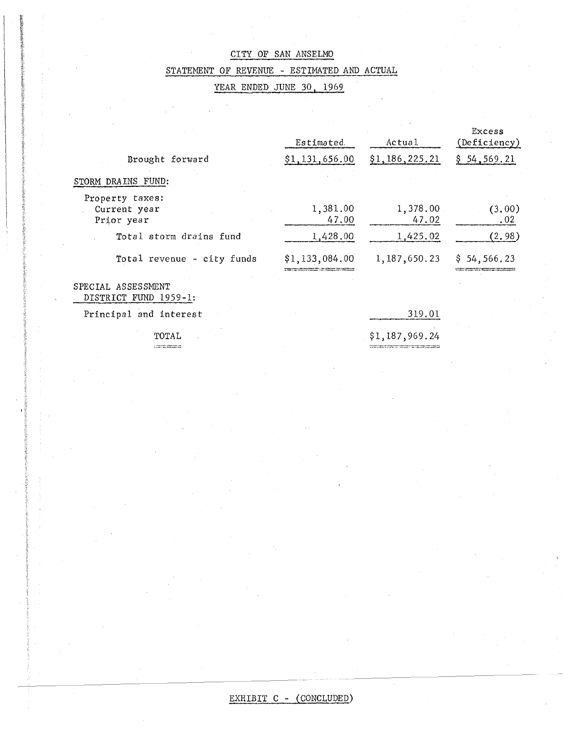### STATEMENT OF REVENUE - ESTIMATED AND ACTUAL

YEAR ENDED JUNE 30, 1969

|                                               | Estimated         | Actual            | Excess<br>(Deficiency) |
|-----------------------------------------------|-------------------|-------------------|------------------------|
| Brought forward                               | \$1,131,656.00    | \$1,186,225.21    | \$54,569.21            |
| STORM DRAINS FUND:                            |                   |                   |                        |
| Property taxes:<br>Current year<br>Prior year | 1,381.00<br>47.00 | 1,378.00<br>47.02 | (3,00)<br>.02          |
| Total storm drains fund                       | 1,428.00          | 1,425.02          | (2, 98)                |
| Total revenue - city funds                    | \$1,133,084.00    | 1, 187, 650.23    | \$54,566,23            |

### SPECIAL ASSESSNENT DISTRICT FUND 1959-1:

Principal and interest

TOTAL  $1.3573777777777$ 

319.01

\$1,187,969.24